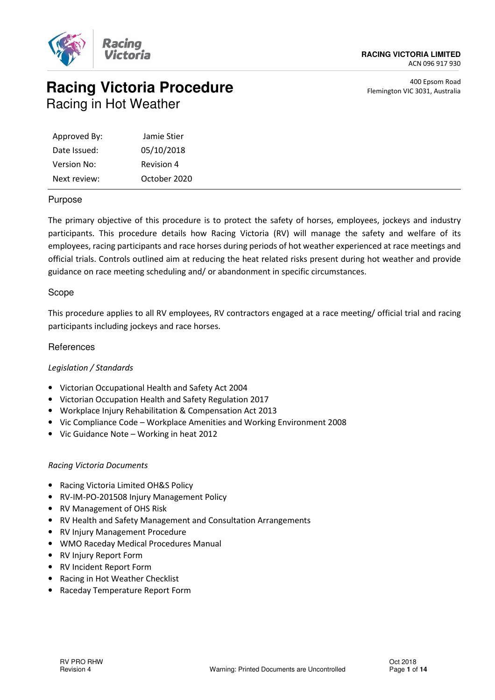

# **Racing Victoria Procedure** Racing in Hot Weather

400 Epsom Road Flemington VIC 3031, Australia

| Approved By: | Jamie Stier  |
|--------------|--------------|
| Date Issued: | 05/10/2018   |
| Version No:  | Revision 4   |
| Next review: | October 2020 |

#### Purpose

The primary objective of this procedure is to protect the safety of horses, employees, jockeys and industry participants. This procedure details how Racing Victoria (RV) will manage the safety and welfare of its employees, racing participants and race horses during periods of hot weather experienced at race meetings and official trials. Controls outlined aim at reducing the heat related risks present during hot weather and provide guidance on race meeting scheduling and/ or abandonment in specific circumstances.

#### Scope

This procedure applies to all RV employees, RV contractors engaged at a race meeting/ official trial and racing participants including jockeys and race horses.

#### **References**

#### Legislation / Standards

- Victorian Occupational Health and Safety Act 2004
- Victorian Occupation Health and Safety Regulation 2017
- Workplace Injury Rehabilitation & Compensation Act 2013
- Vic Compliance Code Workplace Amenities and Working Environment 2008
- Vic Guidance Note Working in heat 2012

#### Racing Victoria Documents

- Racing Victoria Limited OH&S Policy
- RV-IM-PO-201508 Injury Management Policy
- RV Management of OHS Risk
- RV Health and Safety Management and Consultation Arrangements
- RV Injury Management Procedure
- WMO Raceday Medical Procedures Manual
- RV Injury Report Form
- RV Incident Report Form
- Racing in Hot Weather Checklist
- Raceday Temperature Report Form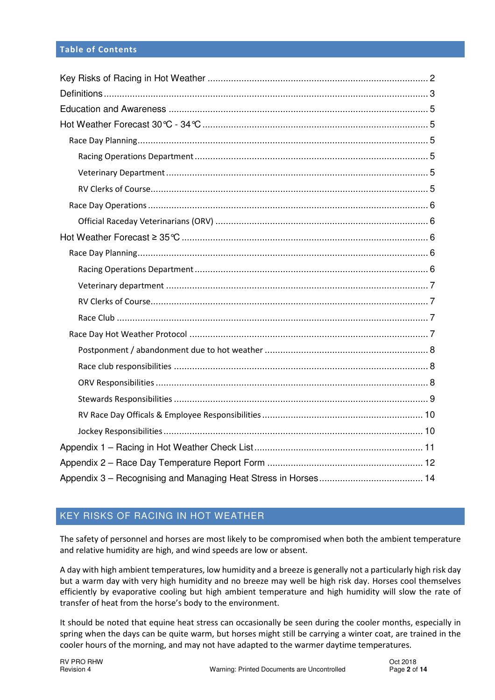#### Table of Contents

## KEY RISKS OF RACING IN HOT WEATHER

The safety of personnel and horses are most likely to be compromised when both the ambient temperature and relative humidity are high, and wind speeds are low or absent.

A day with high ambient temperatures, low humidity and a breeze is generally not a particularly high risk day but a warm day with very high humidity and no breeze may well be high risk day. Horses cool themselves efficiently by evaporative cooling but high ambient temperature and high humidity will slow the rate of transfer of heat from the horse's body to the environment.

It should be noted that equine heat stress can occasionally be seen during the cooler months, especially in spring when the days can be quite warm, but horses might still be carrying a winter coat, are trained in the cooler hours of the morning, and may not have adapted to the warmer daytime temperatures.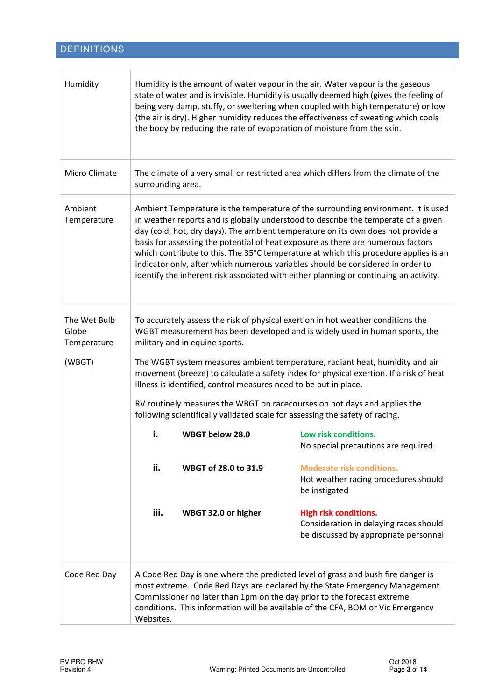# DEFINITIONS

| Humidity                             | Humidity is the amount of water vapour in the air. Water vapour is the gaseous<br>state of water and is invisible. Humidity is usually deemed high (gives the feeling of<br>being very damp, stuffy, or sweltering when coupled with high temperature) or low<br>(the air is dry). Higher humidity reduces the effectiveness of sweating which cools<br>the body by reducing the rate of evaporation of moisture from the skin.                                                                                                                                                                                     |                      |                                                                                                                 |  |  |
|--------------------------------------|---------------------------------------------------------------------------------------------------------------------------------------------------------------------------------------------------------------------------------------------------------------------------------------------------------------------------------------------------------------------------------------------------------------------------------------------------------------------------------------------------------------------------------------------------------------------------------------------------------------------|----------------------|-----------------------------------------------------------------------------------------------------------------|--|--|
| Micro Climate                        | The climate of a very small or restricted area which differs from the climate of the<br>surrounding area.                                                                                                                                                                                                                                                                                                                                                                                                                                                                                                           |                      |                                                                                                                 |  |  |
| Ambient<br>Temperature               | Ambient Temperature is the temperature of the surrounding environment. It is used<br>in weather reports and is globally understood to describe the temperate of a given<br>day (cold, hot, dry days). The ambient temperature on its own does not provide a<br>basis for assessing the potential of heat exposure as there are numerous factors<br>which contribute to this. The 35°C temperature at which this procedure applies is an<br>indicator only, after which numerous variables should be considered in order to<br>identify the inherent risk associated with either planning or continuing an activity. |                      |                                                                                                                 |  |  |
| The Wet Bulb<br>Globe<br>Temperature | To accurately assess the risk of physical exertion in hot weather conditions the<br>WGBT measurement has been developed and is widely used in human sports, the<br>military and in equine sports.                                                                                                                                                                                                                                                                                                                                                                                                                   |                      |                                                                                                                 |  |  |
| (WBGT)                               | The WGBT system measures ambient temperature, radiant heat, humidity and air<br>movement (breeze) to calculate a safety index for physical exertion. If a risk of heat<br>illness is identified, control measures need to be put in place.                                                                                                                                                                                                                                                                                                                                                                          |                      |                                                                                                                 |  |  |
|                                      | RV routinely measures the WBGT on racecourses on hot days and applies the<br>following scientifically validated scale for assessing the safety of racing.                                                                                                                                                                                                                                                                                                                                                                                                                                                           |                      |                                                                                                                 |  |  |
|                                      | i.                                                                                                                                                                                                                                                                                                                                                                                                                                                                                                                                                                                                                  | WBGT below 28.0      | Low risk conditions.<br>No special precautions are required.                                                    |  |  |
|                                      | ii.                                                                                                                                                                                                                                                                                                                                                                                                                                                                                                                                                                                                                 | WBGT of 28.0 to 31.9 | <b>Moderate risk conditions.</b><br>Hot weather racing procedures should<br>be instigated                       |  |  |
|                                      | iii.                                                                                                                                                                                                                                                                                                                                                                                                                                                                                                                                                                                                                | WBGT 32.0 or higher  | <b>High risk conditions.</b><br>Consideration in delaying races should<br>be discussed by appropriate personnel |  |  |
| Code Red Day                         | A Code Red Day is one where the predicted level of grass and bush fire danger is<br>most extreme. Code Red Days are declared by the State Emergency Management<br>Commissioner no later than 1pm on the day prior to the forecast extreme<br>conditions. This information will be available of the CFA, BOM or Vic Emergency<br>Websites.                                                                                                                                                                                                                                                                           |                      |                                                                                                                 |  |  |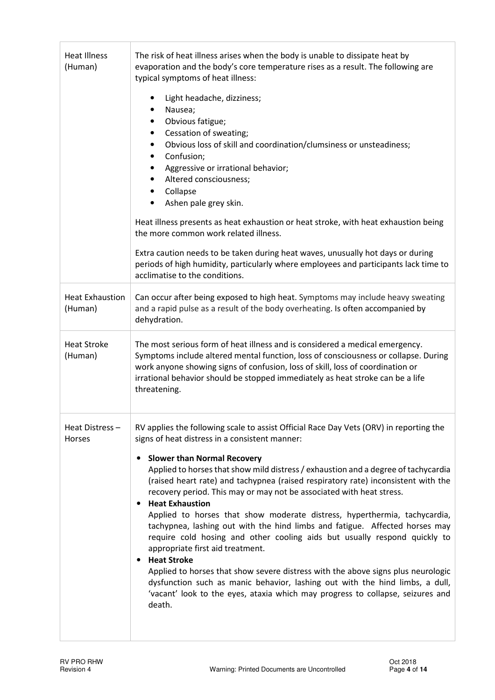| <b>Heat Illness</b><br>(Human)    | The risk of heat illness arises when the body is unable to dissipate heat by<br>evaporation and the body's core temperature rises as a result. The following are<br>typical symptoms of heat illness:                                                                                                                                                                                                                                                                                                                                                                                                                                                                                                                                                                                                                                                                                                                                                                                                                                            |  |  |  |  |
|-----------------------------------|--------------------------------------------------------------------------------------------------------------------------------------------------------------------------------------------------------------------------------------------------------------------------------------------------------------------------------------------------------------------------------------------------------------------------------------------------------------------------------------------------------------------------------------------------------------------------------------------------------------------------------------------------------------------------------------------------------------------------------------------------------------------------------------------------------------------------------------------------------------------------------------------------------------------------------------------------------------------------------------------------------------------------------------------------|--|--|--|--|
|                                   | Light headache, dizziness;<br>Nausea;<br>٠<br>Obvious fatigue;<br>$\bullet$<br>Cessation of sweating;<br>$\bullet$<br>Obvious loss of skill and coordination/clumsiness or unsteadiness;<br>$\bullet$<br>Confusion;<br>$\bullet$<br>Aggressive or irrational behavior;<br>$\bullet$<br>Altered consciousness;<br>$\bullet$<br>Collapse<br>$\bullet$<br>Ashen pale grey skin.<br>Heat illness presents as heat exhaustion or heat stroke, with heat exhaustion being<br>the more common work related illness.<br>Extra caution needs to be taken during heat waves, unusually hot days or during<br>periods of high humidity, particularly where employees and participants lack time to<br>acclimatise to the conditions.                                                                                                                                                                                                                                                                                                                        |  |  |  |  |
| <b>Heat Exhaustion</b><br>(Human) | Can occur after being exposed to high heat. Symptoms may include heavy sweating<br>and a rapid pulse as a result of the body overheating. Is often accompanied by<br>dehydration.                                                                                                                                                                                                                                                                                                                                                                                                                                                                                                                                                                                                                                                                                                                                                                                                                                                                |  |  |  |  |
| <b>Heat Stroke</b><br>(Human)     | The most serious form of heat illness and is considered a medical emergency.<br>Symptoms include altered mental function, loss of consciousness or collapse. During<br>work anyone showing signs of confusion, loss of skill, loss of coordination or<br>irrational behavior should be stopped immediately as heat stroke can be a life<br>threatening.                                                                                                                                                                                                                                                                                                                                                                                                                                                                                                                                                                                                                                                                                          |  |  |  |  |
| Heat Distress-<br>Horses          | RV applies the following scale to assist Official Race Day Vets (ORV) in reporting the<br>signs of heat distress in a consistent manner:<br><b>Slower than Normal Recovery</b><br>Applied to horses that show mild distress / exhaustion and a degree of tachycardia<br>(raised heart rate) and tachypnea (raised respiratory rate) inconsistent with the<br>recovery period. This may or may not be associated with heat stress.<br><b>Heat Exhaustion</b><br>$\bullet$<br>Applied to horses that show moderate distress, hyperthermia, tachycardia,<br>tachypnea, lashing out with the hind limbs and fatigue. Affected horses may<br>require cold hosing and other cooling aids but usually respond quickly to<br>appropriate first aid treatment.<br><b>Heat Stroke</b><br>٠<br>Applied to horses that show severe distress with the above signs plus neurologic<br>dysfunction such as manic behavior, lashing out with the hind limbs, a dull,<br>'vacant' look to the eyes, ataxia which may progress to collapse, seizures and<br>death. |  |  |  |  |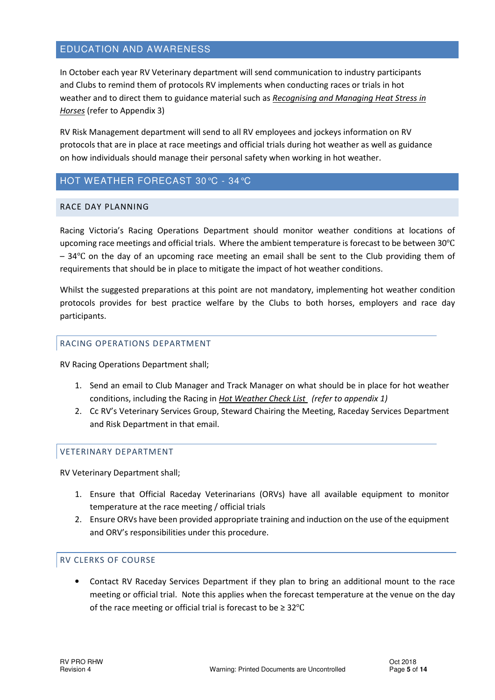#### EDUCATION AND AWARENESS

In October each year RV Veterinary department will send communication to industry participants and Clubs to remind them of protocols RV implements when conducting races or trials in hot weather and to direct them to guidance material such as Recognising and Managing Heat Stress in Horses (refer to Appendix 3)

RV Risk Management department will send to all RV employees and jockeys information on RV protocols that are in place at race meetings and official trials during hot weather as well as guidance on how individuals should manage their personal safety when working in hot weather.

# HOT WEATHER FORECAST 30°C - 34°C

#### RACE DAY PLANNING

Racing Victoria's Racing Operations Department should monitor weather conditions at locations of upcoming race meetings and official trials. Where the ambient temperature is forecast to be between 30℃ – 34℃ on the day of an upcoming race meeting an email shall be sent to the Club providing them of requirements that should be in place to mitigate the impact of hot weather conditions.

Whilst the suggested preparations at this point are not mandatory, implementing hot weather condition protocols provides for best practice welfare by the Clubs to both horses, employers and race day participants.

#### RACING OPERATIONS DEPARTMENT

RV Racing Operations Department shall;

- 1. Send an email to Club Manager and Track Manager on what should be in place for hot weather conditions, including the Racing in Hot Weather Check List (refer to appendix 1)
- 2. Cc RV's Veterinary Services Group, Steward Chairing the Meeting, Raceday Services Department and Risk Department in that email.

#### VETERINARY DEPARTMENT

RV Veterinary Department shall;

- 1. Ensure that Official Raceday Veterinarians (ORVs) have all available equipment to monitor temperature at the race meeting / official trials
- 2. Ensure ORVs have been provided appropriate training and induction on the use of the equipment and ORV's responsibilities under this procedure.

#### RV CLERKS OF COURSE

• Contact RV Raceday Services Department if they plan to bring an additional mount to the race meeting or official trial. Note this applies when the forecast temperature at the venue on the day of the race meeting or official trial is forecast to be ≥ 32℃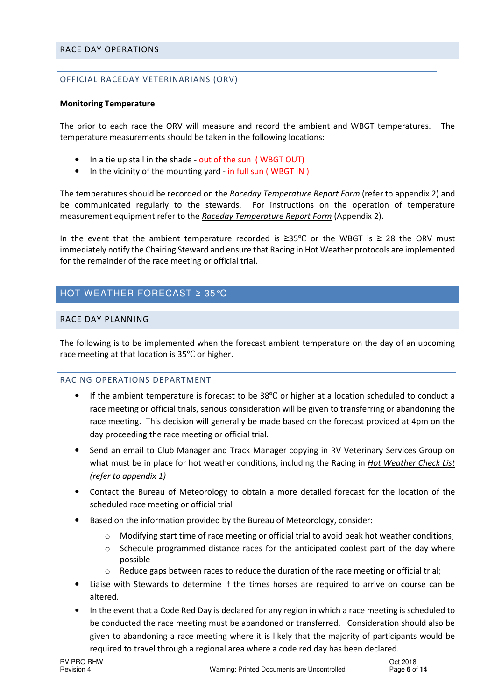#### RACE DAY OPERATIONS

#### OFFICIAL RACEDAY VETERINARIANS (ORV)

#### Monitoring Temperature

The prior to each race the ORV will measure and record the ambient and WBGT temperatures. The temperature measurements should be taken in the following locations:

- In a tie up stall in the shade out of the sun (WBGT OUT)
- In the vicinity of the mounting yard in full sun (WBGT IN)

The temperatures should be recorded on the Raceday Temperature Report Form (refer to appendix 2) and be communicated regularly to the stewards. For instructions on the operation of temperature measurement equipment refer to the Raceday Temperature Report Form (Appendix 2).

In the event that the ambient temperature recorded is ≥35℃ or the WBGT is ≥ 28 the ORV must immediately notify the Chairing Steward and ensure that Racing in Hot Weather protocols are implemented for the remainder of the race meeting or official trial.

## HOT WEATHER FORECAST ≥ 35°C

#### RACE DAY PLANNING

The following is to be implemented when the forecast ambient temperature on the day of an upcoming race meeting at that location is 35℃ or higher.

#### RACING OPERATIONS DEPARTMENT

- If the ambient temperature is forecast to be 38℃ or higher at a location scheduled to conduct a race meeting or official trials, serious consideration will be given to transferring or abandoning the race meeting. This decision will generally be made based on the forecast provided at 4pm on the day proceeding the race meeting or official trial.
- Send an email to Club Manager and Track Manager copying in RV Veterinary Services Group on what must be in place for hot weather conditions, including the Racing in Hot Weather Check List (refer to appendix 1)
- Contact the Bureau of Meteorology to obtain a more detailed forecast for the location of the scheduled race meeting or official trial
- Based on the information provided by the Bureau of Meteorology, consider:
	- $\circ$  Modifying start time of race meeting or official trial to avoid peak hot weather conditions;
	- o Schedule programmed distance races for the anticipated coolest part of the day where possible
	- Reduce gaps between races to reduce the duration of the race meeting or official trial;
- Liaise with Stewards to determine if the times horses are required to arrive on course can be altered.
- In the event that a Code Red Day is declared for any region in which a race meeting is scheduled to be conducted the race meeting must be abandoned or transferred. Consideration should also be given to abandoning a race meeting where it is likely that the majority of participants would be required to travel through a regional area where a code red day has been declared.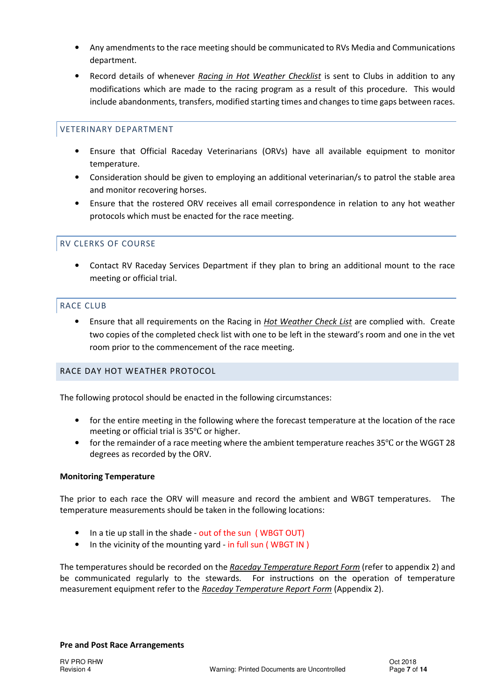- Any amendments to the race meeting should be communicated to RVs Media and Communications department.
- Record details of whenever Racing in Hot Weather Checklist is sent to Clubs in addition to any modifications which are made to the racing program as a result of this procedure. This would include abandonments, transfers, modified starting times and changes to time gaps between races.

#### VETERINARY DEPARTMENT

- Ensure that Official Raceday Veterinarians (ORVs) have all available equipment to monitor temperature.
- Consideration should be given to employing an additional veterinarian/s to patrol the stable area and monitor recovering horses.
- Ensure that the rostered ORV receives all email correspondence in relation to any hot weather protocols which must be enacted for the race meeting.

#### RV CLERKS OF COURSE

• Contact RV Raceday Services Department if they plan to bring an additional mount to the race meeting or official trial.

#### RACE CLUB

Ensure that all requirements on the Racing in Hot Weather Check List are complied with. Create two copies of the completed check list with one to be left in the steward's room and one in the vet room prior to the commencement of the race meeting.

#### RACE DAY HOT WEATHER PROTOCOL

The following protocol should be enacted in the following circumstances:

- for the entire meeting in the following where the forecast temperature at the location of the race meeting or official trial is 35℃ or higher.
- for the remainder of a race meeting where the ambient temperature reaches 35℃ or the WGGT 28 degrees as recorded by the ORV.

#### Monitoring Temperature

The prior to each race the ORV will measure and record the ambient and WBGT temperatures. The temperature measurements should be taken in the following locations:

- In a tie up stall in the shade out of the sun ( WBGT OUT)
- In the vicinity of the mounting yard in full sun ( WBGT IN )

The temperatures should be recorded on the Raceday Temperature Report Form (refer to appendix 2) and be communicated regularly to the stewards. For instructions on the operation of temperature measurement equipment refer to the Raceday Temperature Report Form (Appendix 2).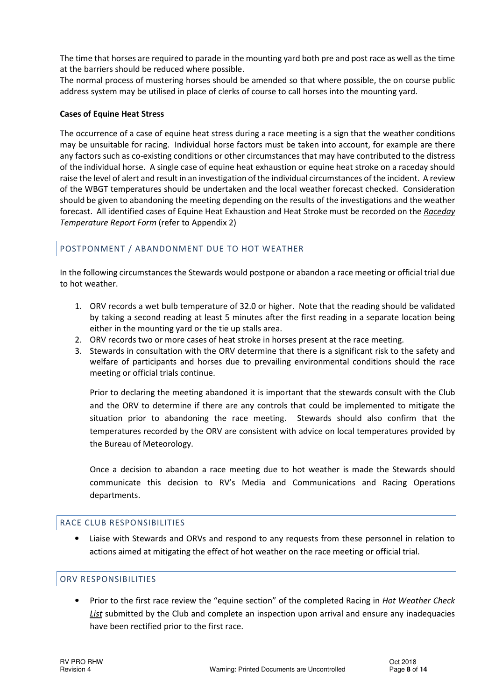The time that horses are required to parade in the mounting yard both pre and post race as well as the time at the barriers should be reduced where possible.

The normal process of mustering horses should be amended so that where possible, the on course public address system may be utilised in place of clerks of course to call horses into the mounting yard.

#### Cases of Equine Heat Stress

The occurrence of a case of equine heat stress during a race meeting is a sign that the weather conditions may be unsuitable for racing. Individual horse factors must be taken into account, for example are there any factors such as co-existing conditions or other circumstances that may have contributed to the distress of the individual horse. A single case of equine heat exhaustion or equine heat stroke on a raceday should raise the level of alert and result in an investigation of the individual circumstances of the incident. A review of the WBGT temperatures should be undertaken and the local weather forecast checked. Consideration should be given to abandoning the meeting depending on the results of the investigations and the weather forecast. All identified cases of Equine Heat Exhaustion and Heat Stroke must be recorded on the Raceday Temperature Report Form (refer to Appendix 2)

#### POSTPONMENT / ABANDONMENT DUE TO HOT WEATHER

In the following circumstances the Stewards would postpone or abandon a race meeting or official trial due to hot weather.

- 1. ORV records a wet bulb temperature of 32.0 or higher. Note that the reading should be validated by taking a second reading at least 5 minutes after the first reading in a separate location being either in the mounting yard or the tie up stalls area.
- 2. ORV records two or more cases of heat stroke in horses present at the race meeting.
- 3. Stewards in consultation with the ORV determine that there is a significant risk to the safety and welfare of participants and horses due to prevailing environmental conditions should the race meeting or official trials continue.

Prior to declaring the meeting abandoned it is important that the stewards consult with the Club and the ORV to determine if there are any controls that could be implemented to mitigate the situation prior to abandoning the race meeting. Stewards should also confirm that the temperatures recorded by the ORV are consistent with advice on local temperatures provided by the Bureau of Meteorology.

Once a decision to abandon a race meeting due to hot weather is made the Stewards should communicate this decision to RV's Media and Communications and Racing Operations departments.

#### RACE CLUB RESPONSIBILITIES

• Liaise with Stewards and ORVs and respond to any requests from these personnel in relation to actions aimed at mitigating the effect of hot weather on the race meeting or official trial.

#### ORV RESPONSIBILITIES

• Prior to the first race review the "equine section" of the completed Racing in *Hot Weather Check* List submitted by the Club and complete an inspection upon arrival and ensure any inadequacies have been rectified prior to the first race.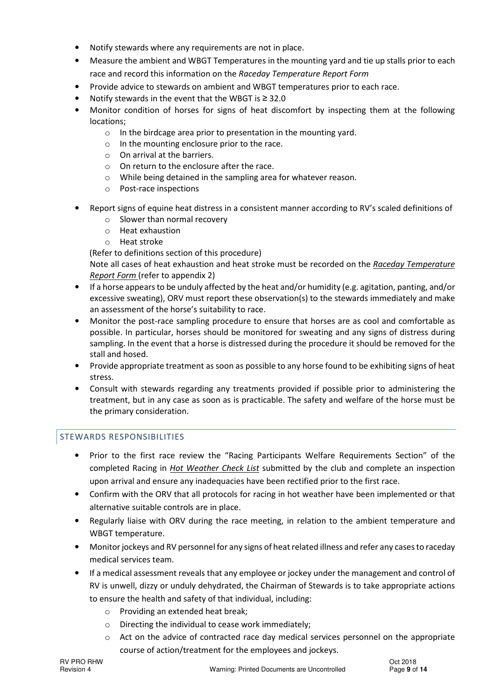- Notify stewards where any requirements are not in place.
- Measure the ambient and WBGT Temperatures in the mounting yard and tie up stalls prior to each race and record this information on the Raceday Temperature Report Form
- Provide advice to stewards on ambient and WBGT temperatures prior to each race.
- Notify stewards in the event that the WBGT is ≥ 32.0
- Monitor condition of horses for signs of heat discomfort by inspecting them at the following locations;
	- o In the birdcage area prior to presentation in the mounting yard.
	- $\circ$  In the mounting enclosure prior to the race.
	- o On arrival at the barriers.
	- $\circ$  On return to the enclosure after the race.
	- o While being detained in the sampling area for whatever reason.
	- o Post-race inspections
- Report signs of equine heat distress in a consistent manner according to RV's scaled definitions of
	- o Slower than normal recovery
	- o Heat exhaustion
	- o Heat stroke

(Refer to definitions section of this procedure)

Note all cases of heat exhaustion and heat stroke must be recorded on the Raceday Temperature **Report Form** (refer to appendix 2)

- If a horse appears to be unduly affected by the heat and/or humidity (e.g. agitation, panting, and/or excessive sweating), ORV must report these observation(s) to the stewards immediately and make an assessment of the horse's suitability to race.
- Monitor the post-race sampling procedure to ensure that horses are as cool and comfortable as possible. In particular, horses should be monitored for sweating and any signs of distress during sampling. In the event that a horse is distressed during the procedure it should be removed for the stall and hosed.
- Provide appropriate treatment as soon as possible to any horse found to be exhibiting signs of heat stress.
- Consult with stewards regarding any treatments provided if possible prior to administering the treatment, but in any case as soon as is practicable. The safety and welfare of the horse must be the primary consideration.

#### STEWARDS RESPONSIBILITIES

- Prior to the first race review the "Racing Participants Welfare Requirements Section" of the completed Racing in Hot Weather Check List submitted by the club and complete an inspection upon arrival and ensure any inadequacies have been rectified prior to the first race.
- Confirm with the ORV that all protocols for racing in hot weather have been implemented or that alternative suitable controls are in place.
- Regularly liaise with ORV during the race meeting, in relation to the ambient temperature and WBGT temperature.
- Monitor jockeys and RV personnel for any signs of heat related illness and refer any cases to raceday medical services team.
- If a medical assessment reveals that any employee or jockey under the management and control of RV is unwell, dizzy or unduly dehydrated, the Chairman of Stewards is to take appropriate actions to ensure the health and safety of that individual, including:
	- o Providing an extended heat break;
	- o Directing the individual to cease work immediately;
	- $\circ$  Act on the advice of contracted race day medical services personnel on the appropriate course of action/treatment for the employees and jockeys.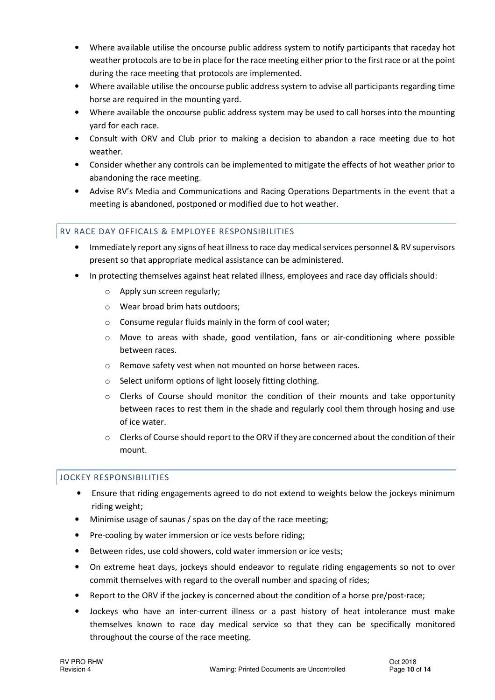- Where available utilise the oncourse public address system to notify participants that raceday hot weather protocols are to be in place for the race meeting either prior to the first race or at the point during the race meeting that protocols are implemented.
- Where available utilise the oncourse public address system to advise all participants regarding time horse are required in the mounting yard.
- Where available the oncourse public address system may be used to call horses into the mounting yard for each race.
- Consult with ORV and Club prior to making a decision to abandon a race meeting due to hot weather.
- Consider whether any controls can be implemented to mitigate the effects of hot weather prior to abandoning the race meeting.
- Advise RV's Media and Communications and Racing Operations Departments in the event that a meeting is abandoned, postponed or modified due to hot weather.

#### RV RACE DAY OFFICALS & EMPLOYEE RESPONSIBILITIES

- Immediately report any signs of heat illness to race day medical services personnel & RV supervisors present so that appropriate medical assistance can be administered.
- In protecting themselves against heat related illness, employees and race day officials should:
	- o Apply sun screen regularly;
	- o Wear broad brim hats outdoors;
	- o Consume regular fluids mainly in the form of cool water;
	- $\circ$  Move to areas with shade, good ventilation, fans or air-conditioning where possible between races.
	- o Remove safety vest when not mounted on horse between races.
	- o Select uniform options of light loosely fitting clothing.
	- $\circ$  Clerks of Course should monitor the condition of their mounts and take opportunity between races to rest them in the shade and regularly cool them through hosing and use of ice water.
	- o Clerks of Course should report to the ORV if they are concerned about the condition of their mount.

#### JOCKEY RESPONSIBILITIES

- Ensure that riding engagements agreed to do not extend to weights below the jockeys minimum riding weight;
- Minimise usage of saunas / spas on the day of the race meeting;
- Pre-cooling by water immersion or ice vests before riding;
- Between rides, use cold showers, cold water immersion or ice vests;
- On extreme heat days, jockeys should endeavor to regulate riding engagements so not to over commit themselves with regard to the overall number and spacing of rides;
- Report to the ORV if the jockey is concerned about the condition of a horse pre/post-race;
- Jockeys who have an inter-current illness or a past history of heat intolerance must make themselves known to race day medical service so that they can be specifically monitored throughout the course of the race meeting.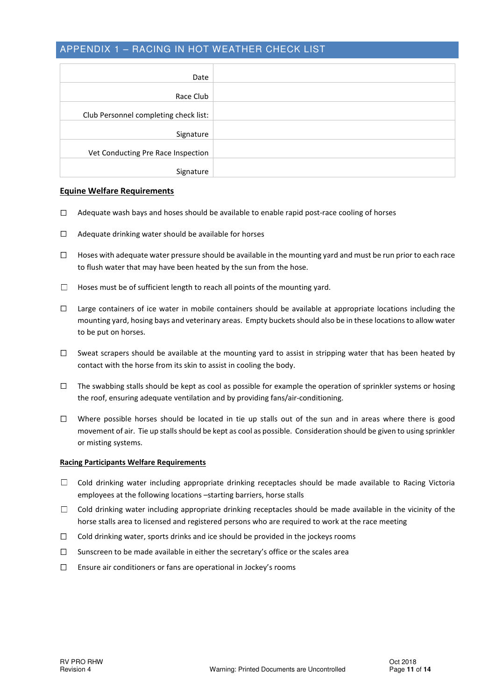#### APPENDIX 1 – RACING IN HOT WEATHER CHECK LIST

| Date                                  |  |
|---------------------------------------|--|
| Race Club                             |  |
| Club Personnel completing check list: |  |
| Signature                             |  |
| Vet Conducting Pre Race Inspection    |  |
| Signature                             |  |

#### Equine Welfare Requirements

- ☐ Adequate wash bays and hoses should be available to enable rapid post-race cooling of horses
- ☐ Adequate drinking water should be available for horses
- □ Hoses with adequate water pressure should be available in the mounting yard and must be run prior to each race to flush water that may have been heated by the sun from the hose.
- $\Box$  Hoses must be of sufficient length to reach all points of the mounting yard.
- ☐ Large containers of ice water in mobile containers should be available at appropriate locations including the mounting yard, hosing bays and veterinary areas. Empty buckets should also be in these locations to allow water to be put on horses.
- $\Box$  Sweat scrapers should be available at the mounting yard to assist in stripping water that has been heated by contact with the horse from its skin to assist in cooling the body.
- ☐ The swabbing stalls should be kept as cool as possible for example the operation of sprinkler systems or hosing the roof, ensuring adequate ventilation and by providing fans/air-conditioning.
- $\Box$  Where possible horses should be located in tie up stalls out of the sun and in areas where there is good movement of air. Tie up stalls should be kept as cool as possible. Consideration should be given to using sprinkler or misting systems.

#### Racing Participants Welfare Requirements

- ☐ Cold drinking water including appropriate drinking receptacles should be made available to Racing Victoria employees at the following locations –starting barriers, horse stalls
- $\Box$  Cold drinking water including appropriate drinking receptacles should be made available in the vicinity of the horse stalls area to licensed and registered persons who are required to work at the race meeting
- $\Box$  Cold drinking water, sports drinks and ice should be provided in the jockeys rooms
- $\square$  Sunscreen to be made available in either the secretary's office or the scales area
- ☐ Ensure air conditioners or fans are operational in Jockey's rooms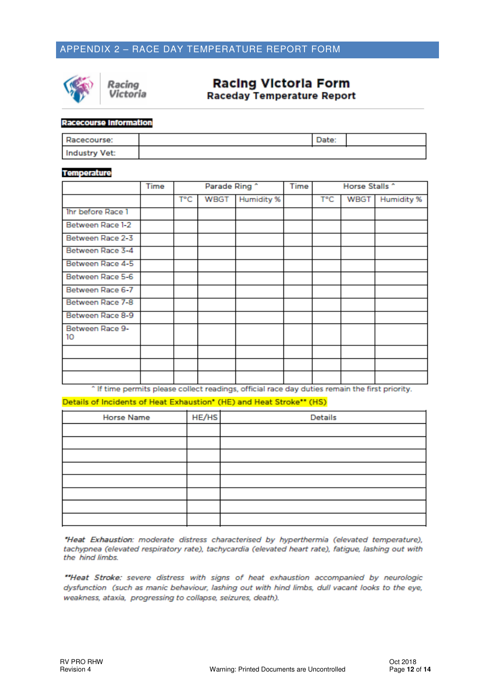# APPENDIX 2 – RACE DAY TEMPERATURE REPORT FORM



Racing Victoria

# **Racing Victoria Form**

**Raceday Temperature Report** 

#### **Racecourse Information**

| Racecourse:   |  |  |
|---------------|--|--|
| Industry Vet: |  |  |

#### **Temperature**

|                       | Time | Parade Ring ^ |      |            | Time | Horse Stalls ^ |      |            |
|-----------------------|------|---------------|------|------------|------|----------------|------|------------|
|                       |      | Т°С           | WBGT | Humidity % |      | T°C            | WBGT | Humidity % |
| Ihr before Race 1     |      |               |      |            |      |                |      |            |
| Between Race 1-2      |      |               |      |            |      |                |      |            |
| Between Race 2-3      |      |               |      |            |      |                |      |            |
| Between Race 3-4      |      |               |      |            |      |                |      |            |
| Between Race 4-5      |      |               |      |            |      |                |      |            |
| Between Race 5-6      |      |               |      |            |      |                |      |            |
| Between Race 6-7      |      |               |      |            |      |                |      |            |
| Between Race 7-8      |      |               |      |            |      |                |      |            |
| Between Race 8-9      |      |               |      |            |      |                |      |            |
| Between Race 9-<br>10 |      |               |      |            |      |                |      |            |
|                       |      |               |      |            |      |                |      |            |
|                       |      |               |      |            |      |                |      |            |
|                       |      |               |      |            |      |                |      |            |

^ If time permits please collect readings, official race day duties remain the first priority.

Details of Incidents of Heat Exhaustion\* (HE) and Heat Stroke\*\* (HS)

| <b>Horse Name</b> | HE/HS | Details |
|-------------------|-------|---------|
|                   |       |         |
|                   |       |         |
|                   |       |         |
|                   |       |         |
|                   |       |         |
|                   |       |         |
|                   |       |         |
|                   |       |         |

"Heat Exhaustion: moderate distress characterised by hyperthermia (elevated temperature), tachypnea (elevated respiratory rate), tachycardia (elevated heart rate), fatigue, lashing out with the hind limbs.

"Heat Stroke: severe distress with signs of heat exhaustion accompanied by neurologic dysfunction (such as manic behaviour, lashing out with hind limbs, dull vacant looks to the eye, weakness, ataxia, progressing to collapse, seizures, death).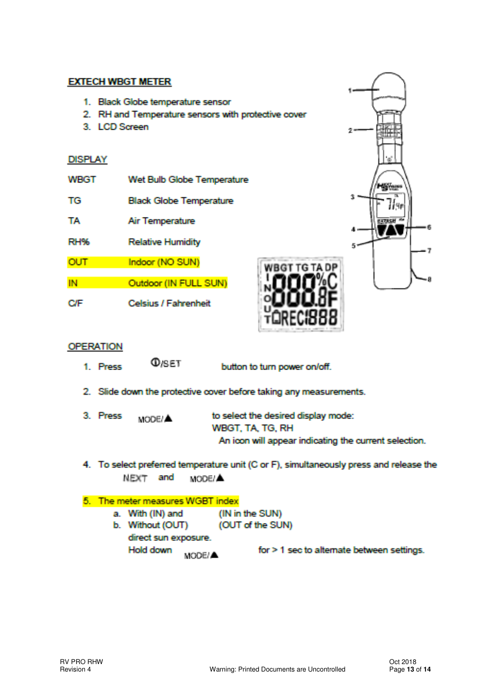## **EXTECH WBGT METER**

- 1. Black Globe temperature sensor
- 2. RH and Temperature sensors with protective cover
- 3. LCD Screen

#### **DISPLAY**

| WHGT       | Wet Bulb Globe Temperature     |
|------------|--------------------------------|
| TG         | <b>Black Globe Temperature</b> |
| TA.        | Air Temperature                |
| RH%        | <b>Relative Humidity</b>       |
| <b>OUT</b> | Indoor (NO SUN)                |
| IN         | Outdoor (IN FULL SUN)          |
|            | <b>Celsius / Fahrenheit</b>    |



## **OPERATION**

**O**<sub>ISET</sub> 1. Press

button to turn power on/off.

- 2. Slide down the protective cover before taking any measurements.
- 3. Press MODE/A

to select the desired display mode: WBGT, TA, TG, RH An icon will appear indicating the current selection.

4. To select preferred temperature unit (C or F), simultaneously press and release the NEXT and MODE/A

#### 5. The meter measures WGBT index

- a. With (IN) and (IN in the SUN)
- b. Without (OUT) (OUT of the SUN) direct sun exposure. Hold down for > 1 sec to alternate between settings. MODE/A.